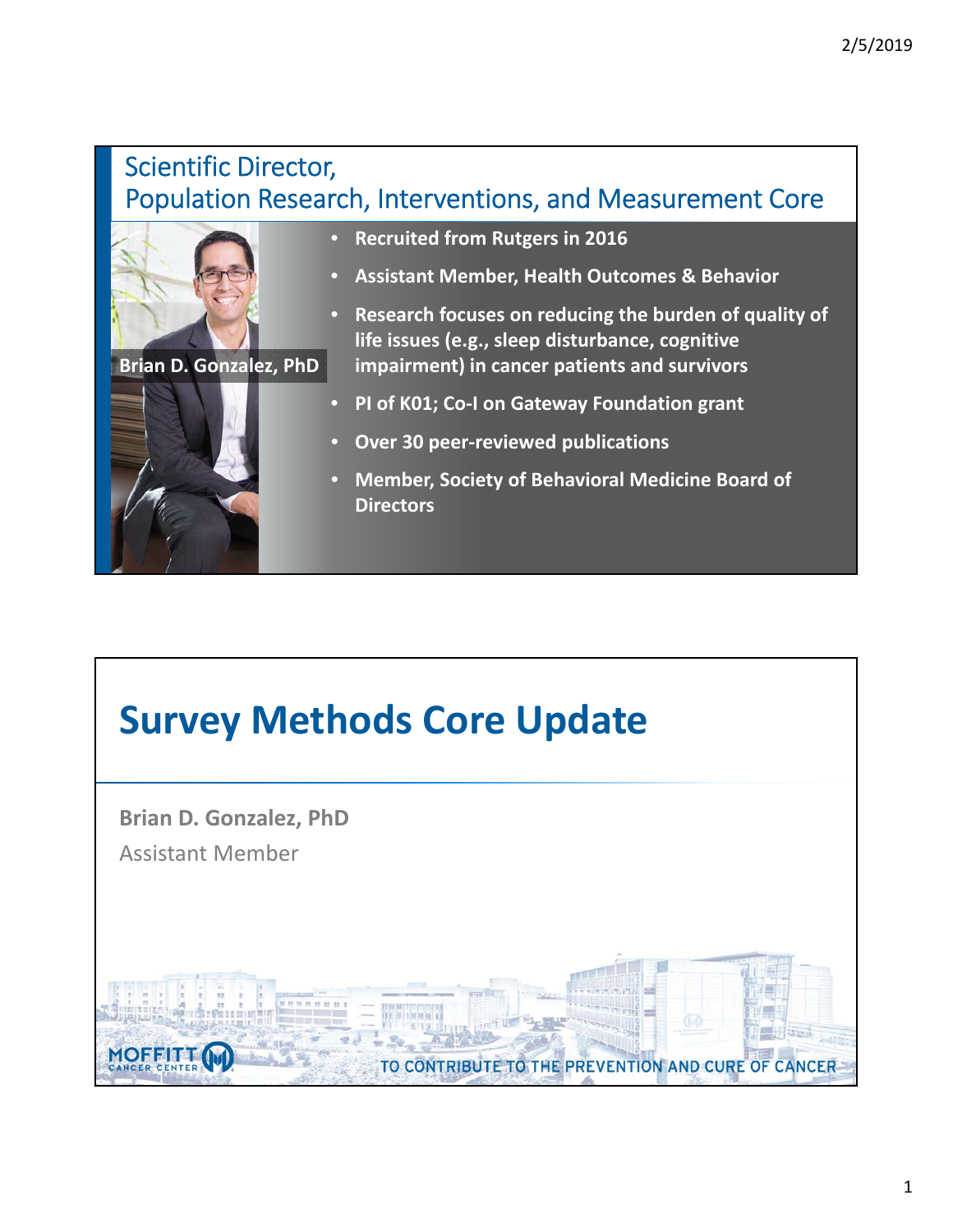#### Scientific Director, Population Research, Interventions, and Measurement Core



**Brian D. Gonzalez, PhD**



- **Recruited from Rutgers in 2016**
- **Assistant Member, Health Outcomes & Behavior**
- **Research focuses on reducing the burden of quality of life issues (e.g., sleep disturbance, cognitive impairment) in cancer patients and survivors**
- **PI of K01; Co‐I on Gateway Foundation grant**
- **Over 30 peer‐reviewed publications**
- **Member, Society of Behavioral Medicine Board of Directors**

## **Survey Methods Core Update**

**Brian D. Gonzalez, PhD** Assistant Member

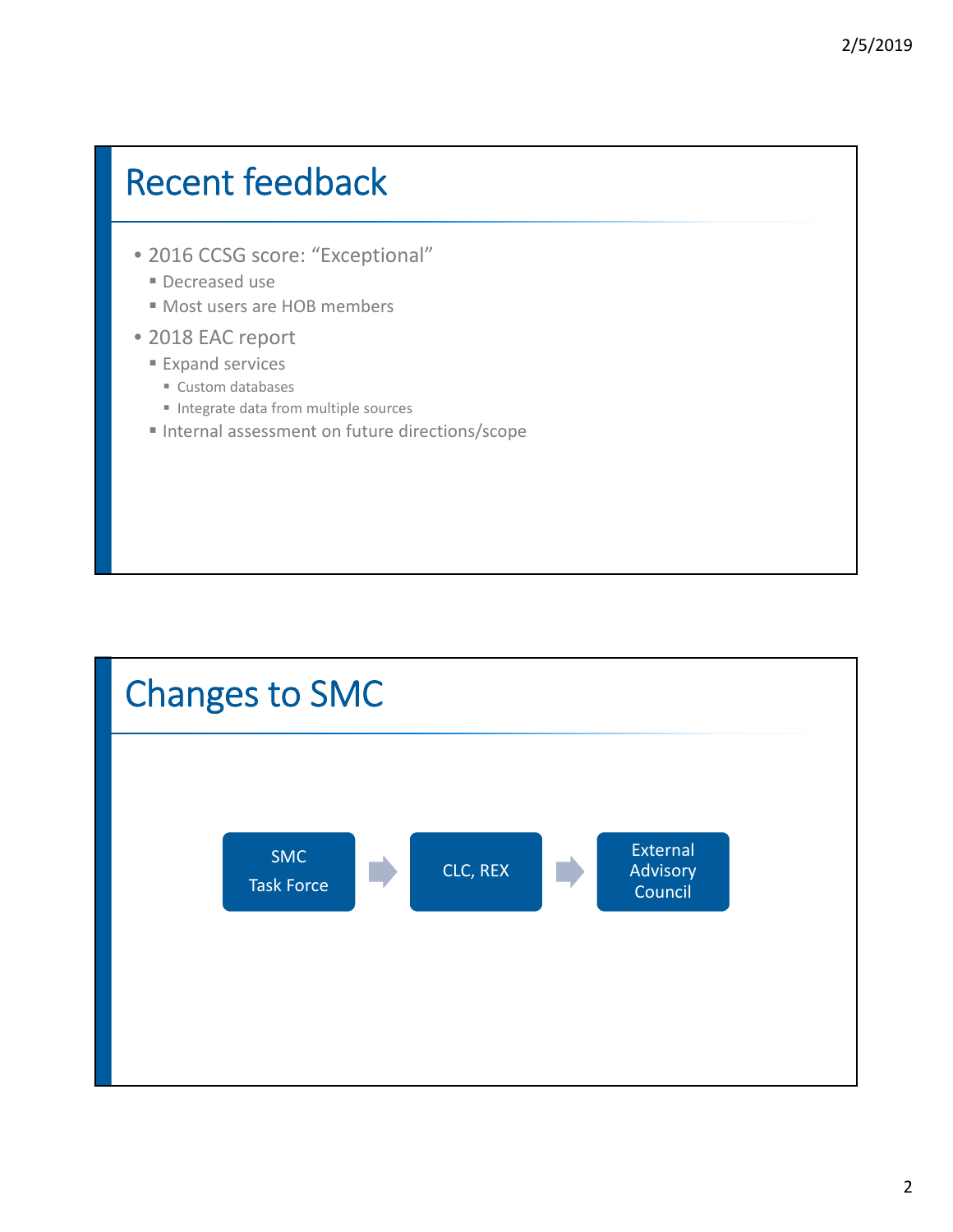#### Recent feedback

- 2016 CCSG score: "Exceptional"
	- Decreased use
	- Most users are HOB members
- 2018 EAC report
	- **Expand services** 
		- Custom databases
		- Integrate data from multiple sources
	- Internal assessment on future directions/scope

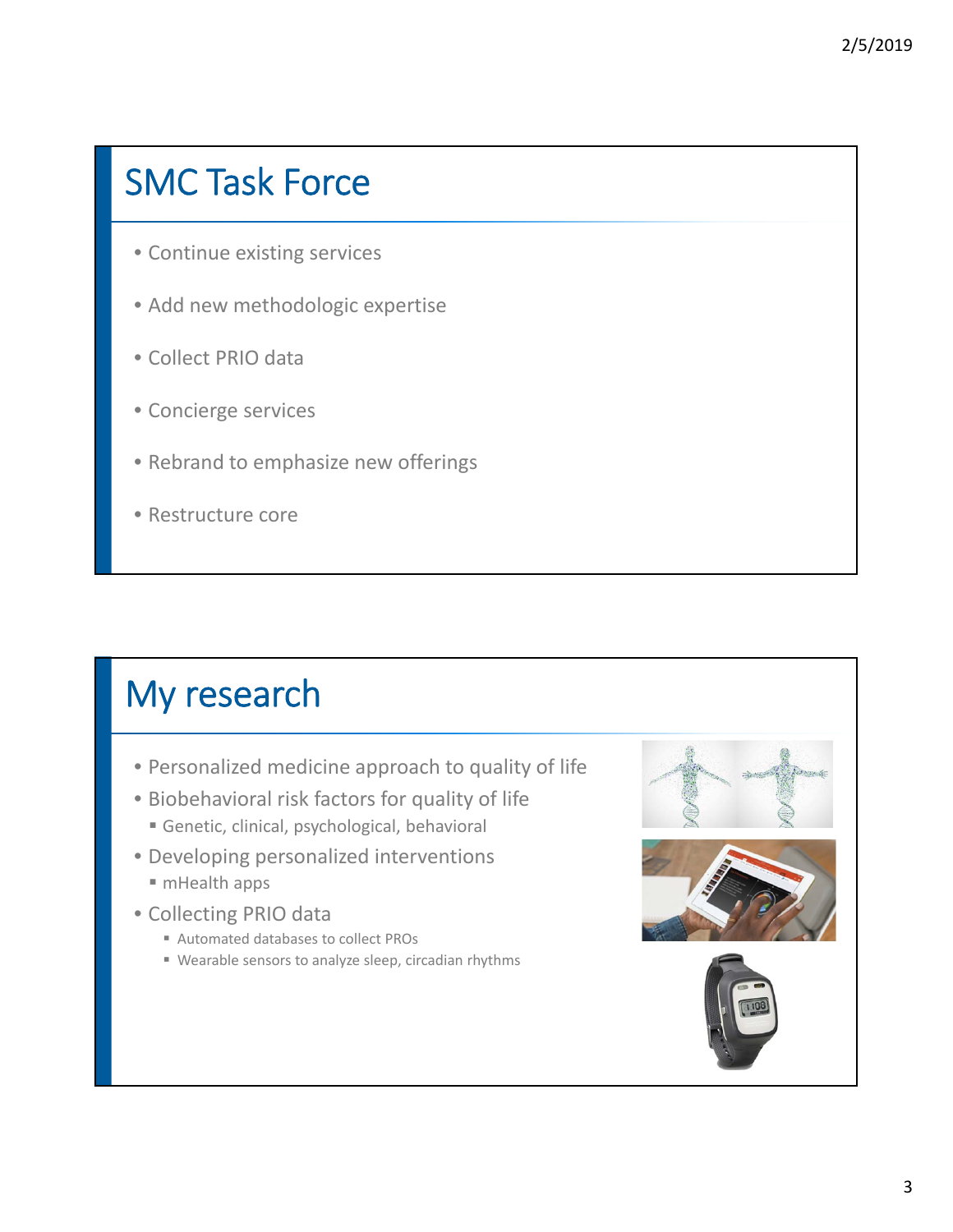### SMC Task Force

- Continue existing services
- Add new methodologic expertise
- Collect PRIO data
- Concierge services
- Rebrand to emphasize new offerings
- Restructure core

## My research

- Personalized medicine approach to quality of life
- Biobehavioral risk factors for quality of life
	- Genetic, clinical, psychological, behavioral
- Developing personalized interventions
	- mHealth apps
- Collecting PRIO data
	- Automated databases to collect PROs
	- Wearable sensors to analyze sleep, circadian rhythms





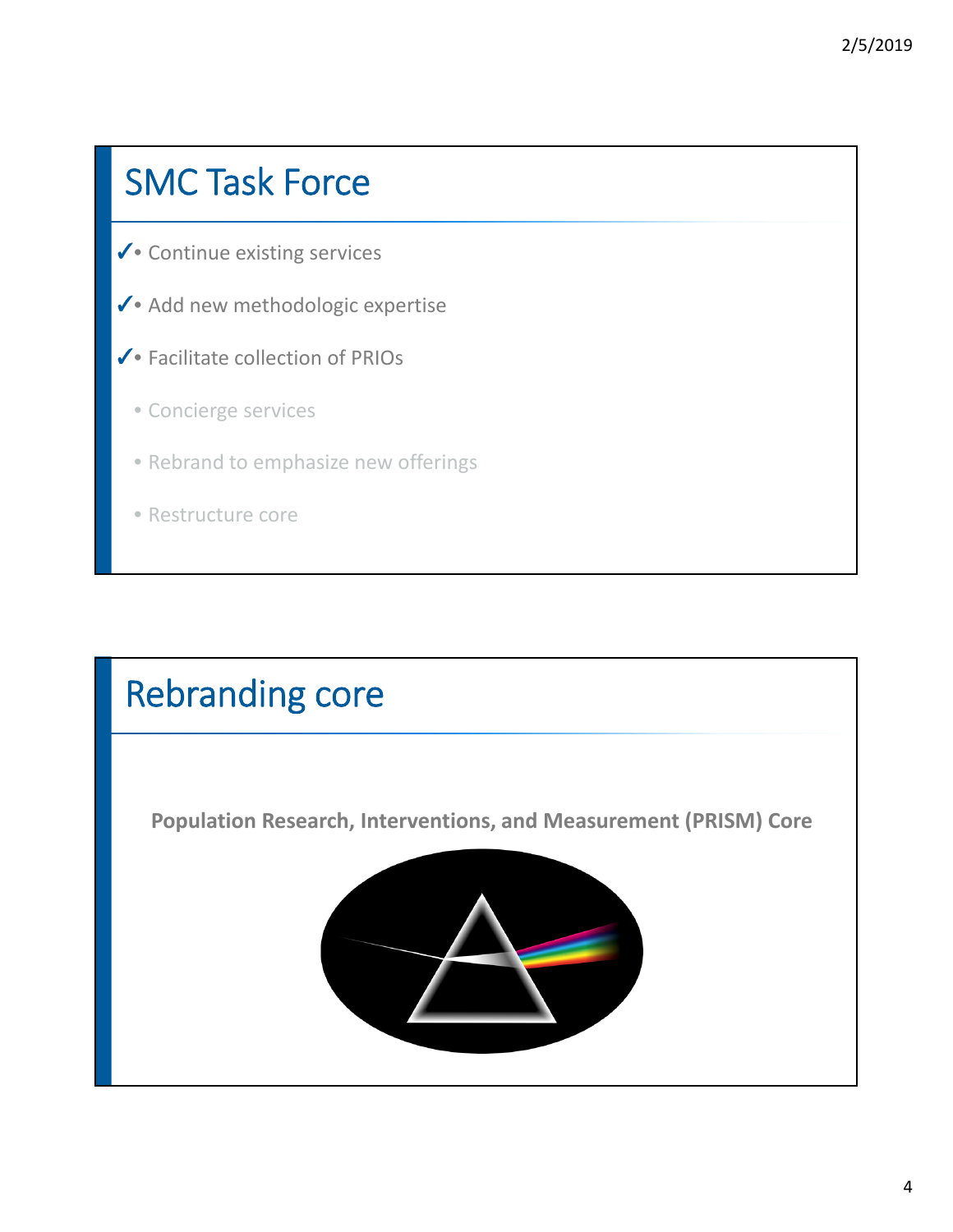### SMC Task Force

- Continue existing services ✓
- Add new methodologic expertise ✓
- Facilitate collection of PRIOs ✓
	- Concierge services
	- Rebrand to emphasize new offerings
	- Restructure core

#### Rebranding core

**Population Research, Interventions, and Measurement (PRISM) Core**

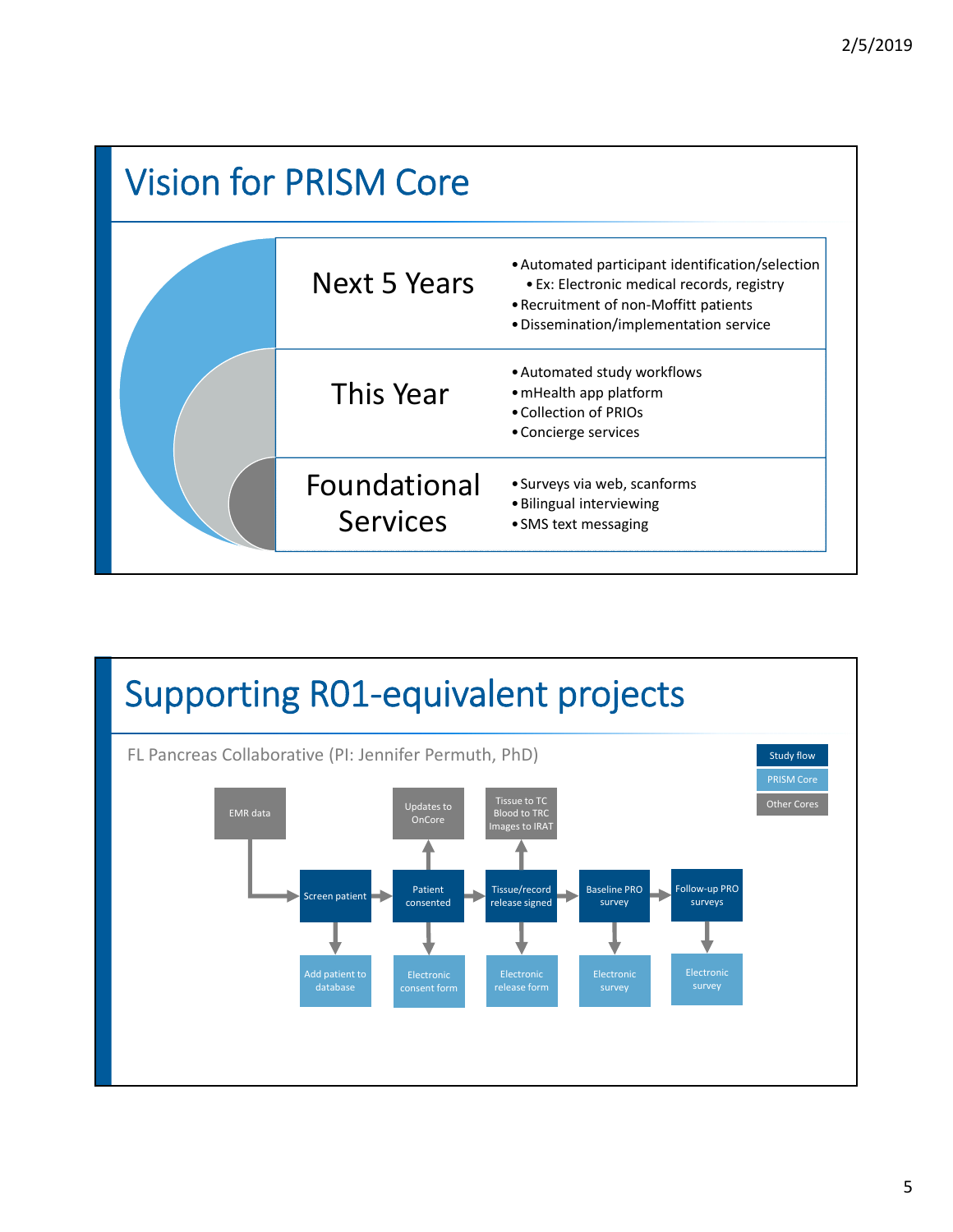

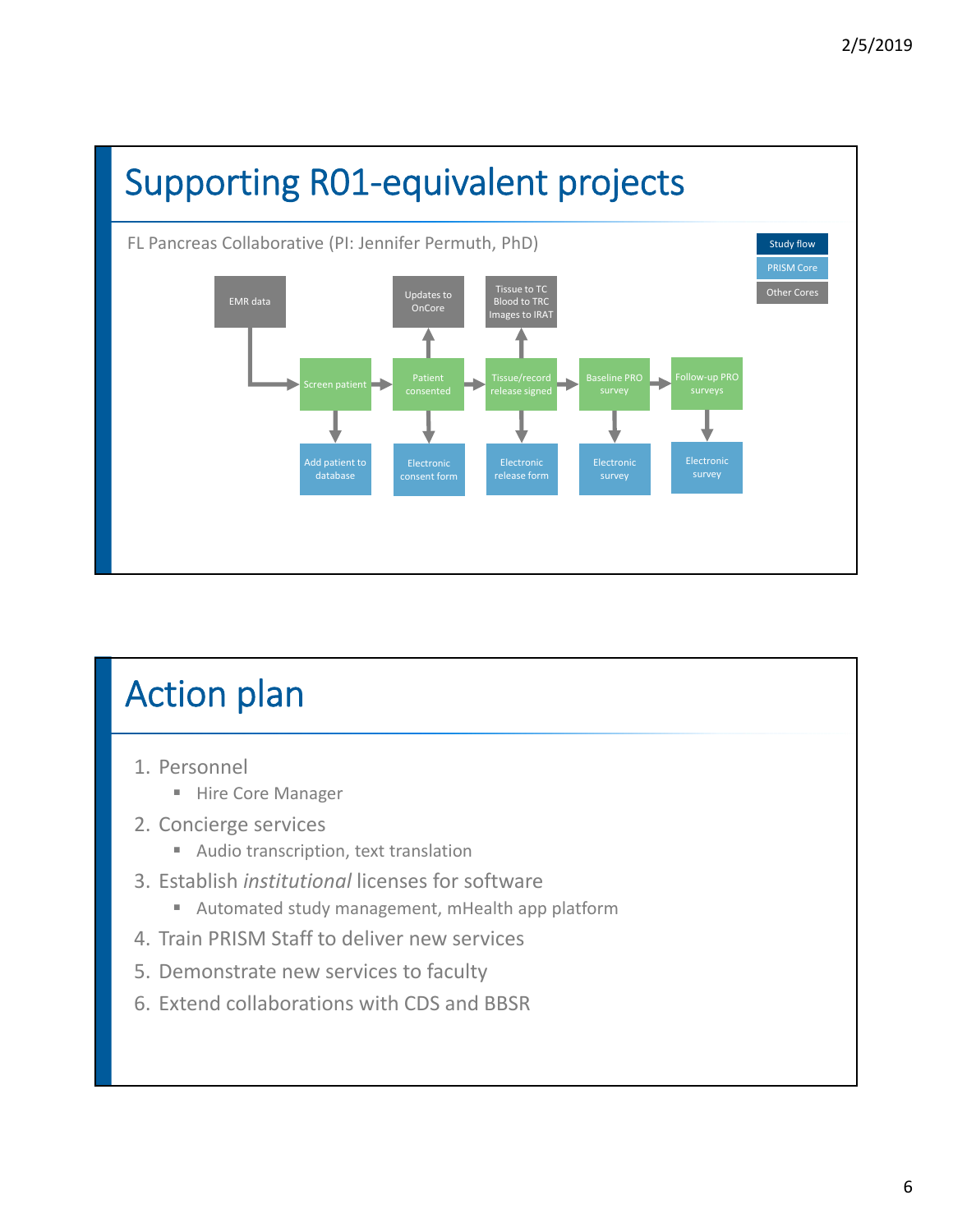

# Action plan

- 1. Personnel
	- Hire Core Manager
- 2. Concierge services
	- Audio transcription, text translation
- 3. Establish *institutional* licenses for software
	- Automated study management, mHealth app platform
- 4. Train PRISM Staff to deliver new services
- 5. Demonstrate new services to faculty
- 6. Extend collaborations with CDS and BBSR